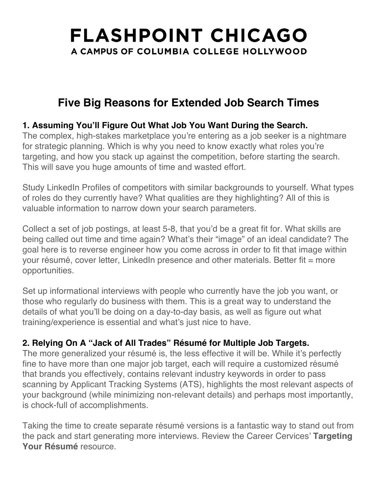# **FLASHPOINT CHICAGO** A CAMPUS OF COLUMBIA COLLEGE HOLLYWOOD

## **Five Big Reasons for Extended Job Search Times**

### **1. Assuming You'll Figure Out What Job You Want During the Search.**

The complex, high-stakes marketplace you're entering as a job seeker is a nightmare for strategic planning. Which is why you need to know exactly what roles you're targeting, and how you stack up against the competition, before starting the search. This will save you huge amounts of time and wasted effort.

Study LinkedIn Profiles of competitors with similar backgrounds to yourself. What types of roles do they currently have? What qualities are they highlighting? All of this is valuable information to narrow down your search parameters.

Collect a set of job postings, at least 5-8, that you'd be a great fit for. What skills are being called out time and time again? What's their "image" of an ideal candidate? The goal here is to reverse engineer how you come across in order to fit that image within your résumé, cover letter, LinkedIn presence and other materials. Better fit = more opportunities.

Set up informational interviews with people who currently have the job you want, or those who regularly do business with them. This is a great way to understand the details of what you'll be doing on a day-to-day basis, as well as figure out what training/experience is essential and what's just nice to have.

### **2. Relying On A "Jack of All Trades" Résumé for Multiple Job Targets.**

The more generalized your résumé is, the less effective it will be. While it's perfectly fine to have more than one major job target, each will require a customized résumé that brands you effectively, contains relevant industry keywords in order to pass scanning by Applicant Tracking Systems (ATS), highlights the most relevant aspects of your background (while minimizing non-relevant details) and perhaps most importantly, is chock-full of accomplishments.

Taking the time to create separate résumé versions is a fantastic way to stand out from the pack and start generating more interviews. Review the Career Cervices' **Targeting Your Résumé** resource.